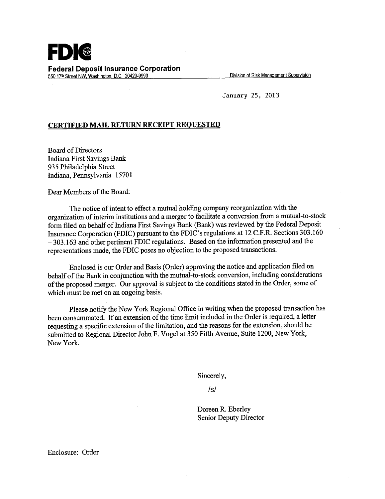

January 25, 2013

## **CERTIFIED MAIL RETURN RECEIPT REQUESTED**

Board of Directors Indiana First Savings Bank 935 Philadelphia Street Indiana, Pennsylvania 15701

Dear Members of the Board:

The notice of intent to effect a mutual holding company reorganization with the organization of interim institutions and a merger to facilitate a conversion from a mutual-to-stock form filed on behalf of Indiana First Savings Bank (Bank) was reviewed by the Federal Deposit Insurance Corporation (FDIC) pursuant to the FDIC's regulations at 12 C.F.R. Sections 303.160 303.163 and other pertinent FDIC regulations. Based on the information presented and the representations made, the FDIC poses no objection to the proposed transactions.

Enclosed is our Order and Basis (Order) approving the notice and application filed on behalf of the Bank in conjunction with the mutual-to-stock conversion, including considerations of the proposed merger. Our approval is subject to the conditions stated in the Order, some of which must be met on an ongoing basis.

Please notify the New York Regional Office in writing when the proposed transaction has been consummated. If an extension of the time limit included in the Order is required, a letter requesting a specific extension of the limitation, and the reasons for the extension, should be submitted to Regional Director John F. Vogel at 350 Fifth Avenue, Suite 1200, New York, New York.

Sincerely,

/s/

Doreen R. Eberley Senior Deputy Director

Enclosure: Order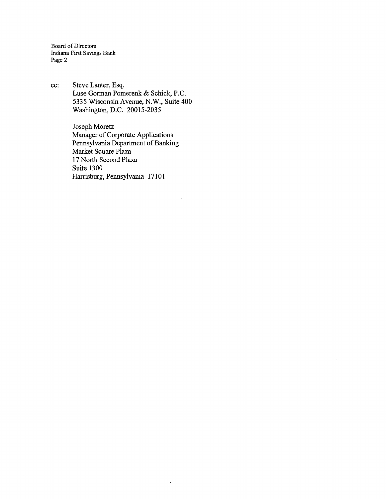Board of Directors Indiana First Savings Bank Page 2

cc: Steve Lanter, Esq. Luse Gorman Pomerenk & Schick, P.C. 5335 Wisconsin Avenue, N.W., Suite 400 Washington, D.C. 20015-2035

> Joseph Moretz Manager of Corporate Applications Pennsylvania Department of Banking Market Square Plaza 17 North Second Plaza Suite 1300 Harrisburg, Pennsylvania 17101

> > $\bar{a}$

 $\bar{z}$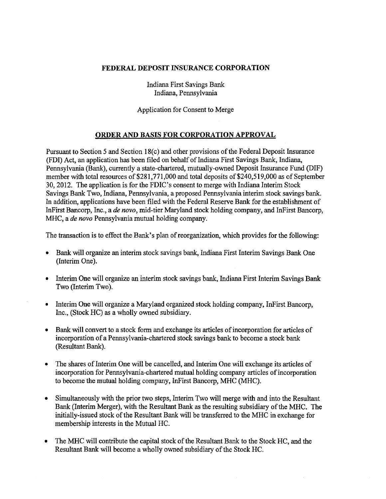## FEDERAL DEPOSIT INSURANCE CORPORATION

Indiana First Savings Bank Indiana, Pennsylvania

Application for Consent to Merge

## ORDER AND BASIS FOR CORPORATION APPROVAL

Pursuant to Section 5 and Section 18(c) and other provisions of the Federal Deposit Insurance (FDI) Act, an application has been filed on behalf of Indiana First Savings Bank, Indiana, Pennsylvania (Bank), currently a state-chartered, mutually-owned Deposit Insurance Fund (DIF) member with total resources of \$281,771,000 and total deposits of \$240,519,000 as of September 30, 2012. The application is for the FDIC's consent to merge with Indiana Interim Stock Savings Bank Two, Indiana, Pennsylvania, a proposed Pennsylvania interim stock savings bank. In addition, applications have been filed with the Federal Reserve Bank for the establishment of InFirst Bancorp, Inc., a *de novo,* mid-tier Maryland stock holding company, and InFirst Bancorp, MHC, a *de novo* Pennsylvania mutual holding company.

The transaction is to effect the Bank's plan of reorganization, which provides for the following:

- Bank will organize an interim stock savings bank, Indiana First Interim Savings Bank One (Interim One).
- Interim One will organize an interim stock savings bank, Indiana First Interim Savings Bank Two (Interim Two).
- Interim One will organize a Maryland organized stock holding company, InFirst Bancorp, Inc., (Stock HC) as a wholly owned subsidiary.
- Bank will convert to a stock form and exchange its articles of incorporation for articles of incorporation of a Pennsylvania-chartered stock savings bank to become a stock bank (Resultant Bank).
- The shares of Interim One will be cancelled, and Interim One will exchange its articles of incorporation for Pennsylvania-chartered mutual holding company articles of incorporation to become the mutual holding company, InFirst Bancorp, MHC (MHC).
- Simultaneously with the prior two steps, Interim Two will merge with and into the Resultant Bank (Interim Merger), with the Resultant Bank as the resulting subsidiary of the MHC. The initially-issued stock of the Resultant Bank will be transferred to the MHC in exchange for membership interests in the Mutual HC.
- The MHC will contribute the capital stock of the Resultant Bank to the Stock HC, and the Resultant Bank will become a wholly owned subsidiary of the Stock HC.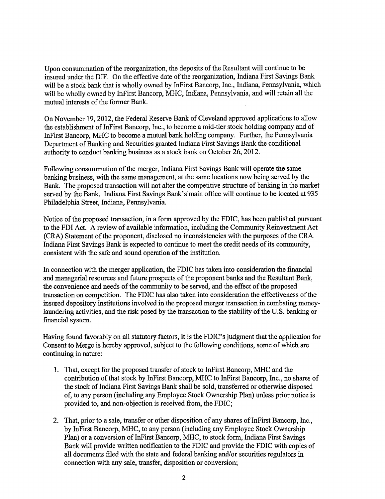Upon consummation of the reorganization, the deposits of the Resultant will continue to be insured under the DIF. On the effective date of the reorganization, Indiana First Savings Bank will be a stock bank that is wholly owned by InFirst Bancorp, Inc., Indiana, Pennsylvania, which will be wholly owned by InFirst Bancorp, MHC, Indiana, Pennsylvania, and will retain all the mutual interests of the former Bank.

On November 19,2012, the Federal Reserve Bank of Cleveland approved applications to allow the establishment of InFirst Bancorp, Inc., to become a mid-tier stock holding company and of lnFirst Bancorp, MHC to become a mutual bank holding company. Further, the Pennsylvania Department of Banking and Securities granted Indiana First Savings Bank the conditional authority to conduct banking business as a stock bank on October 26, 2012.

Following consummation of the merger, Indiana First Savings Bank will operate the same banking business, with the same management, at the same locations now being served by the Bank. The proposed transaction will not alter the competitive structure of banking in the market served by the Bank. Indiana First Savings Bank's main office will continue to be located at 935 Philadelphia Street, Indiana, Pennsylvania.

Notice of the proposed transaction, in a form approved by the FDIC, has been published pursuant to the FDI Act. A review of available information, including the Community Reinvestment Act (CRA) Statement of the proponent, disclosed no inconsistencies with the purposes of the CRA. Indiana First Savings Bank is expected to continue to meet the credit needs of its community, consistent with the safe and sound operation of the institution.

In connection with the merger application, the FDIC has taken into consideration the financial and managerial resources and future prospects of the proponent banks and the Resultant Bank, the convenience and needs of the community to be served, and the effect of the proposed transaction on competition. The FDIC has also taken into consideration the effectiveness of the insured depository institutions involved in the proposed merger transaction in combating moneylaundering activities, and the risk posed by the transaction to the stability of the U.S. banking or financial system.

Having found favorably on all statutory factors, it is the FDIC's judgment that the application for Consent to Merge is hereby approved, subject to the following conditions, some of which are continuing in nature:

- 1. That, except for the proposed transfer of stock to InFirst Bancorp, MHC and the contribution of that stock by InFirst Bancorp, MHC to InFirst Bancorp, Inc., no shares of the stock of Indiana First Savings Bank shall be sold, transferred or otherwise disposed of, to any person (including any Employee Stock Ownership Plan) unless prior notice is provided to, and non-objection is received from, the FDIC;
- 2. That, prior to a sale, transfer or other disposition of any shares of InFirst Bancorp, Inc., by InFirst Bancorp, MHC, to any person (including any Employee Stock Ownership Plan) or a conversion of InFirst Bancorp, MHC, to stock form, Indiana First Savings Bank will provide written notification to the FDIC and provide the FDIC with copies of all documents filed with the state and federal banking and/or securities regulators in connection with any sale, transfer, disposition or conversion;